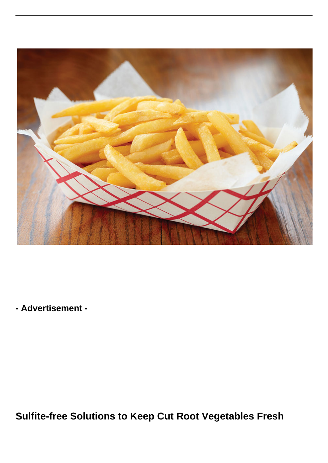

**- Advertisement -**

**Sulfite-free Solutions to Keep Cut Root Vegetables Fresh**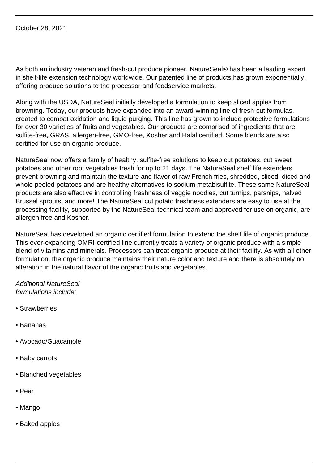October 28, 2021

As both an industry veteran and fresh-cut produce pioneer, NatureSeal® has been a leading expert in shelf-life extension technology worldwide. Our patented line of products has grown exponentially, offering produce solutions to the processor and foodservice markets.

Along with the USDA, NatureSeal initially developed a formulation to keep sliced apples from browning. Today, our products have expanded into an award-winning line of fresh-cut formulas, created to combat oxidation and liquid purging. This line has grown to include protective formulations for over 30 varieties of fruits and vegetables. Our products are comprised of ingredients that are sulfite-free, GRAS, allergen-free, GMO-free, Kosher and Halal certified. Some blends are also certified for use on organic produce.

NatureSeal now offers a family of healthy, sulfite-free solutions to keep cut potatoes, cut sweet potatoes and other root vegetables fresh for up to 21 days. The NatureSeal shelf life extenders prevent browning and maintain the texture and flavor of raw French fries, shredded, sliced, diced and whole peeled potatoes and are healthy alternatives to sodium metabisulfite. These same NatureSeal products are also effective in controlling freshness of veggie noodles, cut turnips, parsnips, halved Brussel sprouts, and more! The NatureSeal cut potato freshness extenders are easy to use at the processing facility, supported by the NatureSeal technical team and approved for use on organic, are allergen free and Kosher.

NatureSeal has developed an organic certified formulation to extend the shelf life of organic produce. This ever-expanding OMRI-certified line currently treats a variety of organic produce with a simple blend of vitamins and minerals. Processors can treat organic produce at their facility. As with all other formulation, the organic produce maintains their nature color and texture and there is absolutely no alteration in the natural flavor of the organic fruits and vegetables.

Additional NatureSeal formulations include:

- Strawberries
- Bananas
- Avocado/Guacamole
- Baby carrots
- Blanched vegetables
- Pear
- Mango
- Baked apples